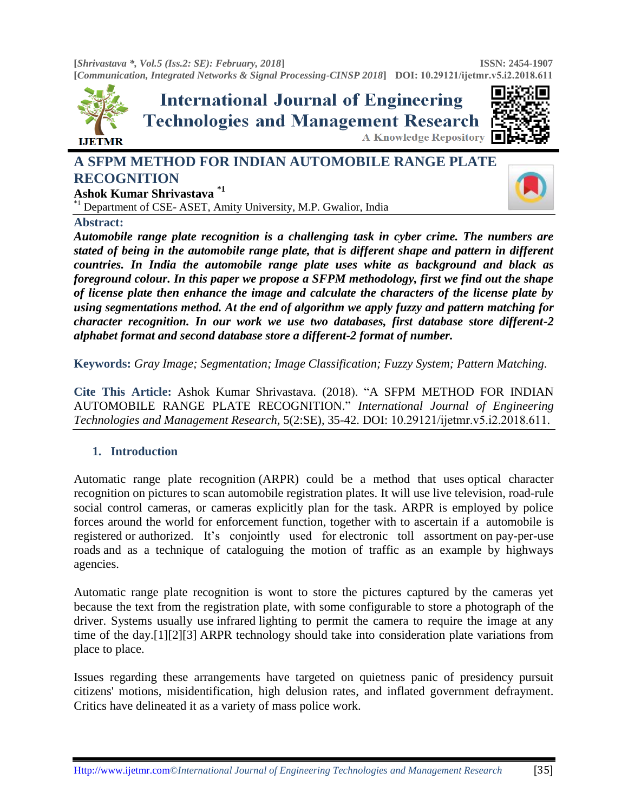**[***Shrivastava \*, Vol.5 (Iss.2: SE): February, 2018***] [***Communication, Integrated Networks & Signal Processing-CINSP 2018***] DOI: [10.29121/ijetmr](http://www.ijetmr.com/).v5.i2.2018.611 ISSN: 2454-1907** 



# **A SFPM METHOD FOR INDIAN AUTOMOBILE RANGE PLATE RECOGNITION**

**Ashok Kumar Shrivastava \*1**

\*1 Department of CSE- ASET, Amity University, M.P. Gwalior, India



# **Abstract:**

*Automobile range plate recognition is a challenging task in cyber crime. The numbers are stated of being in the automobile range plate, that is different shape and pattern in different countries. In India the automobile range plate uses white as background and black as foreground colour. In this paper we propose a SFPM methodology, first we find out the shape of license plate then enhance the image and calculate the characters of the license plate by using segmentations method. At the end of algorithm we apply fuzzy and pattern matching for character recognition. In our work we use two databases, first database store different-2 alphabet format and second database store a different-2 format of number.* 

**Keywords:** *Gray Image; Segmentation; Image Classification; Fuzzy System; Pattern Matching.* 

**Cite This Article:** Ashok Kumar Shrivastava. (2018). "A SFPM METHOD FOR INDIAN AUTOMOBILE RANGE PLATE RECOGNITION." *International Journal of Engineering Technologies and Management Research,* 5(2:SE), 35-42. DOI: 10.29121/ijetmr.v5.i2.2018.611.

# **1. Introduction**

Automatic range plate recognition (ARPR) could be a method that uses [optical character](https://en.wikipedia.org/wiki/Optical_character_recognition)  [recognition](https://en.wikipedia.org/wiki/Optical_character_recognition) on pictures to scan [automobile registration plates.](https://en.wikipedia.org/wiki/Vehicle_registration_plate) It will use live [television,](https://en.wikipedia.org/wiki/Closed-circuit_television) [road-rule](https://en.wikipedia.org/wiki/Road-rule_enforcement_camera)  [social control cameras,](https://en.wikipedia.org/wiki/Road-rule_enforcement_camera) or cameras explicitly plan for the task. ARPR is employed by police forces around the world for enforcement function, together with to ascertain if a [automobile is](https://en.wikipedia.org/wiki/Vehicle_registration)  [registered](https://en.wikipedia.org/wiki/Vehicle_registration) or [authorized.](https://en.wikipedia.org/wiki/Vehicle_licence) It's conjointly used for [electronic toll assortment](https://en.wikipedia.org/wiki/Electronic_toll_collection) on pay-per-use [roads](https://en.wikipedia.org/wiki/Road_pricing) and as a technique of cataloguing the motion of traffic as an example by highways agencies.

Automatic range plate recognition is wont to store the pictures captured by the cameras yet because the text from the registration plate, with some configurable to store a photograph of the driver. Systems usually use [infrared](https://en.wikipedia.org/wiki/Infrared) lighting to permit the camera to require the image at any time of the day[.\[1\]\[2\]](https://en.wikipedia.org/wiki/Automatic_number_plate_recognition#cite_note-1)[\[3\]](https://en.wikipedia.org/wiki/Automatic_number_plate_recognition#cite_note-3) ARPR technology should take into consideration plate variations from place to place.

Issues regarding these arrangements have targeted on quietness panic of presidency pursuit citizens' motions, misidentification, high delusion rates, and inflated government defrayment. Critics have delineated it as a variety of mass police work.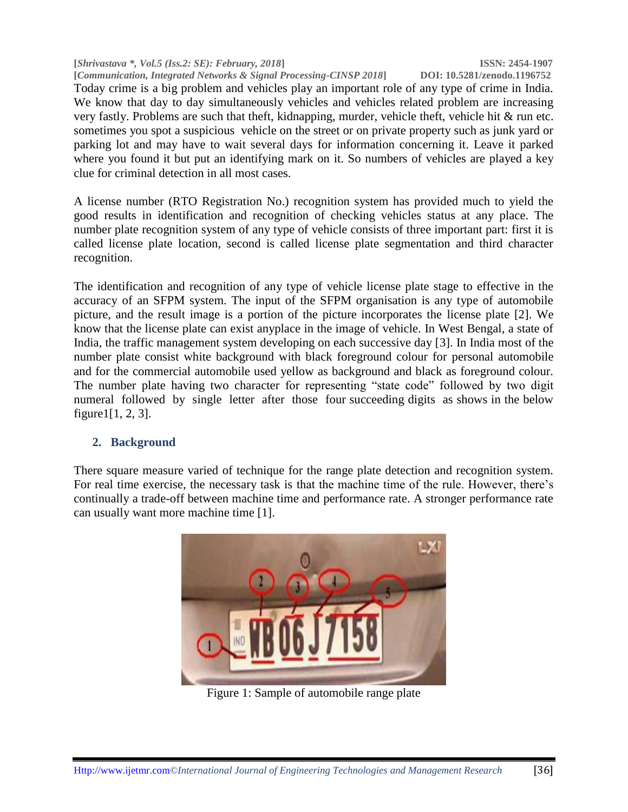**[***Shrivastava \*, Vol.5 (Iss.2: SE): February, 2018***] ISSN: 2454-1907 [Communication, Integrated Networks & Signal Processing-CINSP 2018]** 

Today crime is a big problem and vehicles play an important role of any type of crime in India. We know that day to day simultaneously vehicles and vehicles related problem are increasing very fastly. Problems are such that theft, kidnapping, murder, vehicle theft, vehicle hit & run etc. sometimes you spot a suspicious vehicle on the street or on private property such as junk yard or parking lot and may have to wait several days for information concerning it. Leave it parked where you found it but put an identifying mark on it. So numbers of vehicles are played a key clue for criminal detection in all most cases.

A license number (RTO Registration No.) recognition system has provided much to yield the good results in identification and recognition of checking vehicles status at any place. The number plate recognition system of any type of vehicle consists of three important part: first it is called license plate location, second is called license plate segmentation and third character recognition.

The identification and recognition of any type of vehicle license plate stage to effective in the accuracy of an SFPM system. The input of the SFPM organisation is any type of automobile picture, and the result image is a portion of the picture incorporates the license plate [2]. We know that the license plate can exist anyplace in the image of vehicle. In West Bengal, a state of India, the traffic management system developing on each successive day [3]. In India most of the number plate consist white background with black foreground colour for personal automobile and for the commercial automobile used yellow as background and black as foreground colour. The number plate having two character for representing "state code" followed by two digit numeral followed by single letter after those four succeeding digits as shows in the below figure1[1, 2, 3].

# **2. Background**

There square measure varied of technique for the range plate detection and recognition system. For real time exercise, the necessary task is that the machine time of the rule. However, there's continually a trade-off between machine time and performance rate. A stronger performance rate can usually want more machine time [1].



Figure 1: Sample of automobile range plate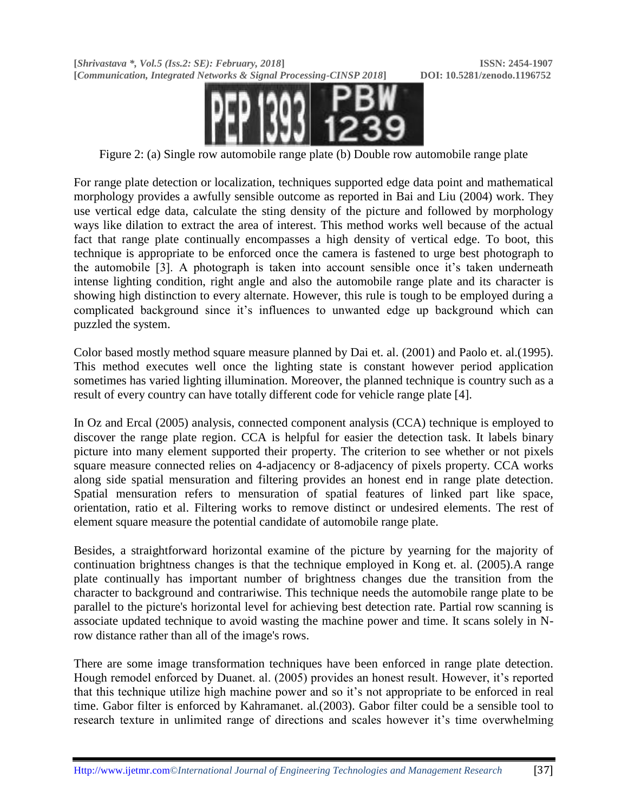**[***Shrivastava \*, Vol.5 (Iss.2: SE): February, 2018***] ISSN: 2454-1907 [***Communication, Integrated Networks & Signal Processing-CINSP 2018***] DOI: 10.5281/zenodo.1196752**



Figure 2: (a) Single row automobile range plate (b) Double row automobile range plate

For range plate detection or localization, techniques supported edge data point and mathematical morphology provides a awfully sensible outcome as reported in Bai and Liu (2004) work. They use vertical edge data, calculate the sting density of the picture and followed by morphology ways like dilation to extract the area of interest. This method works well because of the actual fact that range plate continually encompasses a high density of vertical edge. To boot, this technique is appropriate to be enforced once the camera is fastened to urge best photograph to the automobile [3]. A photograph is taken into account sensible once it's taken underneath intense lighting condition, right angle and also the automobile range plate and its character is showing high distinction to every alternate. However, this rule is tough to be employed during a complicated background since it"s influences to unwanted edge up background which can puzzled the system.

Color based mostly method square measure planned by Dai et. al. (2001) and Paolo et. al.(1995). This method executes well once the lighting state is constant however period application sometimes has varied lighting illumination. Moreover, the planned technique is country such as a result of every country can have totally different code for vehicle range plate [4].

In Oz and Ercal (2005) analysis, connected component analysis (CCA) technique is employed to discover the range plate region. CCA is helpful for easier the detection task. It labels binary picture into many element supported their property. The criterion to see whether or not pixels square measure connected relies on 4-adjacency or 8-adjacency of pixels property. CCA works along side spatial mensuration and filtering provides an honest end in range plate detection. Spatial mensuration refers to mensuration of spatial features of linked part like space, orientation, ratio et al. Filtering works to remove distinct or undesired elements. The rest of element square measure the potential candidate of automobile range plate.

Besides, a straightforward horizontal examine of the picture by yearning for the majority of continuation brightness changes is that the technique employed in Kong et. al. (2005).A range plate continually has important number of brightness changes due the transition from the character to background and contrariwise. This technique needs the automobile range plate to be parallel to the picture's horizontal level for achieving best detection rate. Partial row scanning is associate updated technique to avoid wasting the machine power and time. It scans solely in Nrow distance rather than all of the image's rows.

There are some image transformation techniques have been enforced in range plate detection. Hough remodel enforced by Duanet. al. (2005) provides an honest result. However, it's reported that this technique utilize high machine power and so it"s not appropriate to be enforced in real time. Gabor filter is enforced by Kahramanet. al.(2003). Gabor filter could be a sensible tool to research texture in unlimited range of directions and scales however it's time overwhelming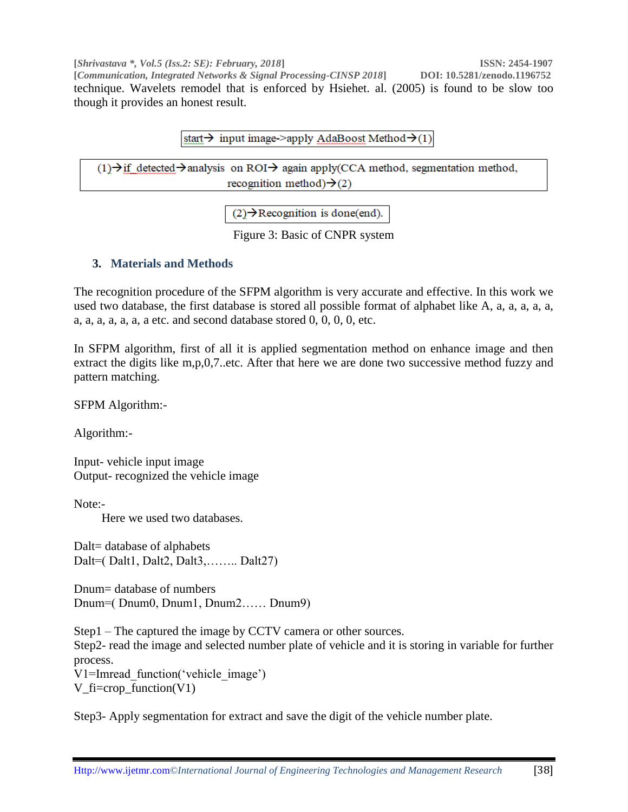**[***Shrivastava \*, Vol.5 (Iss.2: SE): February, 2018***] ISSN: 2454-1907 [***Communication, Integrated Networks & Signal Processing-CINSP 2018***] DOI: 10.5281/zenodo.1196752** technique. Wavelets remodel that is enforced by Hsiehet. al. (2005) is found to be slow too though it provides an honest result.

start  $\rightarrow$  input image->apply AdaBoost Method  $\rightarrow$  (1)

 $(1)$  if detected  $\rightarrow$  analysis on ROI $\rightarrow$  again apply(CCA method, segmentation method, recognition method) $\rightarrow$ (2)

 $(2) \rightarrow$  Recognition is done(end).

Figure 3: Basic of CNPR system

# **3. Materials and Methods**

The recognition procedure of the SFPM algorithm is very accurate and effective. In this work we used two database, the first database is stored all possible format of alphabet like A, a, a, a, a, a, a, a, a, a, a, a, a etc. and second database stored  $0, 0, 0, 0,$  etc.

In SFPM algorithm, first of all it is applied segmentation method on enhance image and then extract the digits like m,p,0,7..etc. After that here we are done two successive method fuzzy and pattern matching.

SFPM Algorithm:-

Algorithm:-

Input- vehicle input image Output- recognized the vehicle image

Note:-

Here we used two databases.

Dalt= database of alphabets Dalt=( Dalt1, Dalt2, Dalt3,…….. Dalt27)

Dnum= database of numbers Dnum=( Dnum0, Dnum1, Dnum2…… Dnum9)

Step1 – The captured the image by CCTV camera or other sources. Step2- read the image and selected number plate of vehicle and it is storing in variable for further process. V1=Imread function('vehicle\_image')

V\_fi=crop\_function(V1)

Step3- Apply segmentation for extract and save the digit of the vehicle number plate.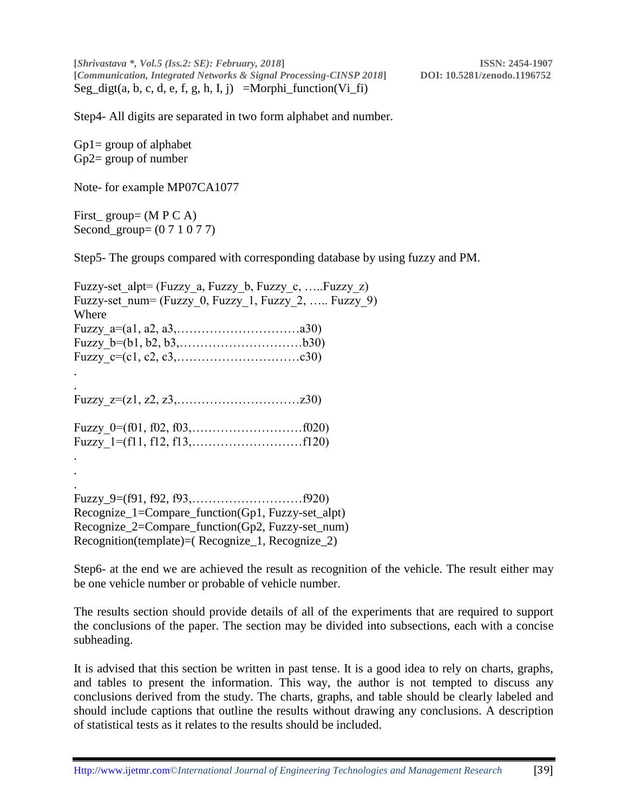**[***Shrivastava \*, Vol.5 (Iss.2: SE): February, 2018***] ISSN: 2454-1907 [***Communication, Integrated Networks & Signal Processing-CINSP 2018***] DOI: 10.5281/zenodo.1196752** Seg\_digt(a, b, c, d, e, f, g, h, I, j) =Morphi\_function(Vi\_fi)

Step4- All digits are separated in two form alphabet and number.

Gp1= group of alphabet Gp2= group of number

Note- for example MP07CA1077

First  $group = (M P C A)$ Second\_group= (0 7 1 0 7 7)

Step5- The groups compared with corresponding database by using fuzzy and PM.

| Fuzzy-set alpt= (Fuzzy a, Fuzzy b, Fuzzy c, Fuzzy z)        |
|-------------------------------------------------------------|
| Fuzzy-set num= (Fuzzy 0, Fuzzy 1, Fuzzy 2,  Fuzzy 9)        |
| Where                                                       |
| Fuzzy $a=(a1, a2, a3, \ldots, \ldots, \ldots, \ldots, a30)$ |
|                                                             |
|                                                             |
|                                                             |
|                                                             |
|                                                             |
|                                                             |
|                                                             |
|                                                             |
|                                                             |
|                                                             |
|                                                             |
|                                                             |
| Recognize_1=Compare_function(Gp1, Fuzzy-set_alpt)           |
| Recognize_2=Compare_function(Gp2, Fuzzy-set_num)            |
| Recognition(template)=(Recognize_1, Recognize_2)            |
|                                                             |

Step6- at the end we are achieved the result as recognition of the vehicle. The result either may be one vehicle number or probable of vehicle number.

The results section should provide details of all of the experiments that are required to support the conclusions of the paper. The section may be divided into subsections, each with a concise subheading.

It is advised that this section be written in past tense. It is a good idea to rely on charts, graphs, and tables to present the information. This way, the author is not tempted to discuss any conclusions derived from the study. The charts, graphs, and table should be clearly labeled and should include captions that outline the results without drawing any conclusions. A description of statistical tests as it relates to the results should be included.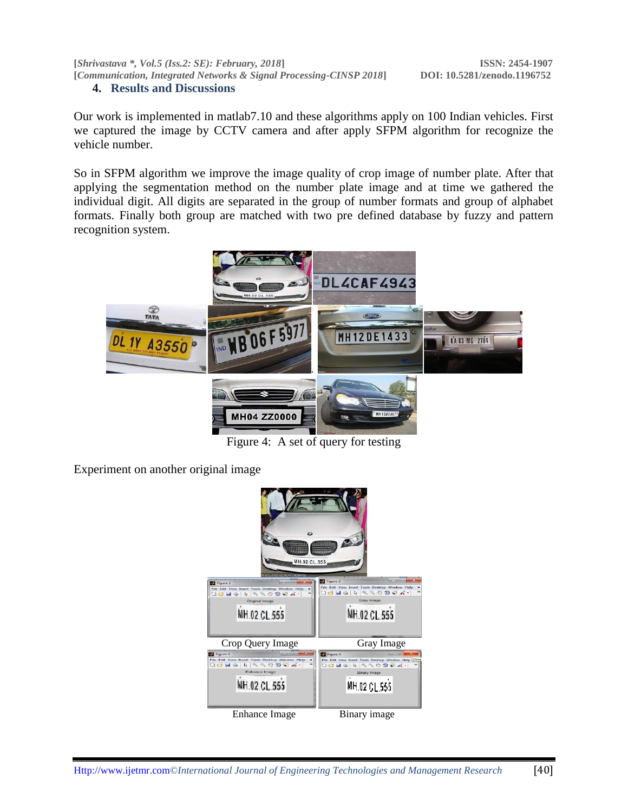**[***Shrivastava \*, Vol.5 (Iss.2: SE): February, 2018***] ISSN: 2454-1907 [***Communication, Integrated Networks & Signal Processing-CINSP 2018***] DOI: 10.5281/zenodo.1196752 4. Results and Discussions** 

Our work is implemented in matlab7.10 and these algorithms apply on 100 Indian vehicles. First we captured the image by CCTV camera and after apply SFPM algorithm for recognize the vehicle number.

So in SFPM algorithm we improve the image quality of crop image of number plate. After that applying the segmentation method on the number plate image and at time we gathered the individual digit. All digits are separated in the group of number formats and group of alphabet formats. Finally both group are matched with two pre defined database by fuzzy and pattern recognition system.



Figure 4: A set of query for testing

Experiment on another original image

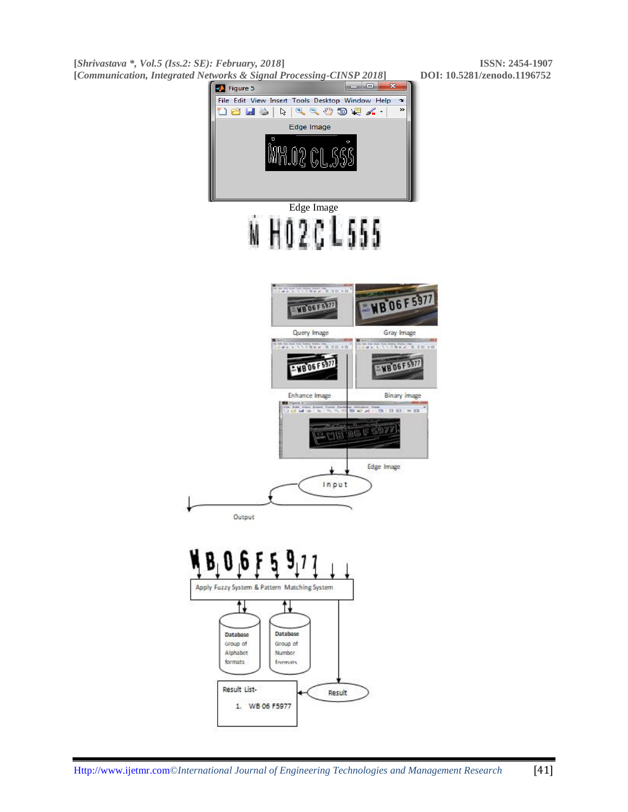**[***Shrivastava \*, Vol.5 (Iss.2: SE): February, 2018***] ISSN: 2454-1907 [***Communication, Integrated Networks & Signal Processing-CINSP 2018***] DOI: 10.5281/zenodo.1196752**